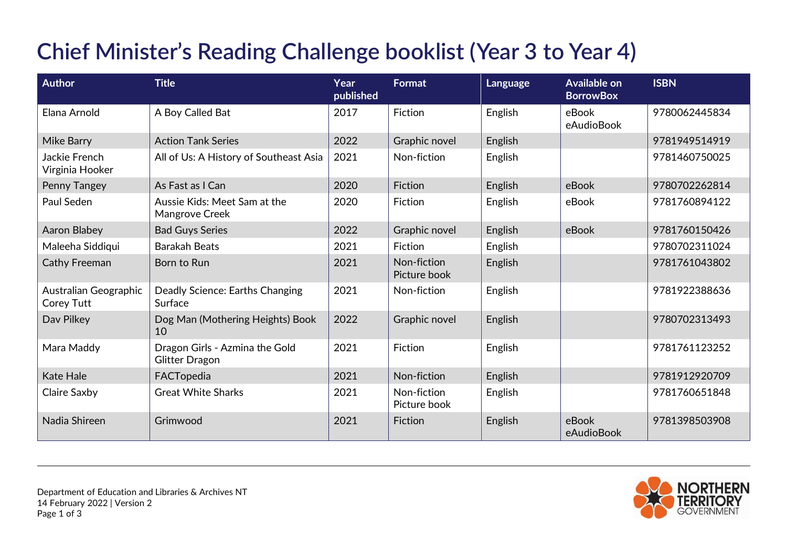## **Chief Minister's Reading Challenge booklist (Year 3 to Year 4)**

| <b>Author</b>                       | <b>Title</b>                                            | Year<br>published | <b>Format</b>               | Language | <b>Available on</b><br><b>BorrowBox</b> | <b>ISBN</b>   |
|-------------------------------------|---------------------------------------------------------|-------------------|-----------------------------|----------|-----------------------------------------|---------------|
| Elana Arnold                        | A Boy Called Bat                                        | 2017              | Fiction                     | English  | eBook<br>eAudioBook                     | 9780062445834 |
| <b>Mike Barry</b>                   | <b>Action Tank Series</b>                               | 2022              | Graphic novel               | English  |                                         | 9781949514919 |
| Jackie French<br>Virginia Hooker    | All of Us: A History of Southeast Asia                  | 2021              | Non-fiction                 | English  |                                         | 9781460750025 |
| Penny Tangey                        | As Fast as I Can                                        | 2020              | Fiction                     | English  | eBook                                   | 9780702262814 |
| Paul Seden                          | Aussie Kids: Meet Sam at the<br>Mangrove Creek          | 2020              | Fiction                     | English  | eBook                                   | 9781760894122 |
| <b>Aaron Blabey</b>                 | <b>Bad Guys Series</b>                                  | 2022              | Graphic novel               | English  | eBook                                   | 9781760150426 |
| Maleeha Siddiqui                    | <b>Barakah Beats</b>                                    | 2021              | Fiction                     | English  |                                         | 9780702311024 |
| <b>Cathy Freeman</b>                | Born to Run                                             | 2021              | Non-fiction<br>Picture book | English  |                                         | 9781761043802 |
| Australian Geographic<br>Corey Tutt | Deadly Science: Earths Changing<br>Surface              | 2021              | Non-fiction                 | English  |                                         | 9781922388636 |
| Dav Pilkey                          | Dog Man (Mothering Heights) Book<br>10                  | 2022              | Graphic novel               | English  |                                         | 9780702313493 |
| Mara Maddy                          | Dragon Girls - Azmina the Gold<br><b>Glitter Dragon</b> | 2021              | Fiction                     | English  |                                         | 9781761123252 |
| <b>Kate Hale</b>                    | FACTopedia                                              | 2021              | Non-fiction                 | English  |                                         | 9781912920709 |
| Claire Saxby                        | <b>Great White Sharks</b>                               | 2021              | Non-fiction<br>Picture book | English  |                                         | 9781760651848 |
| Nadia Shireen                       | Grimwood                                                | 2021              | Fiction                     | English  | eBook<br>eAudioBook                     | 9781398503908 |

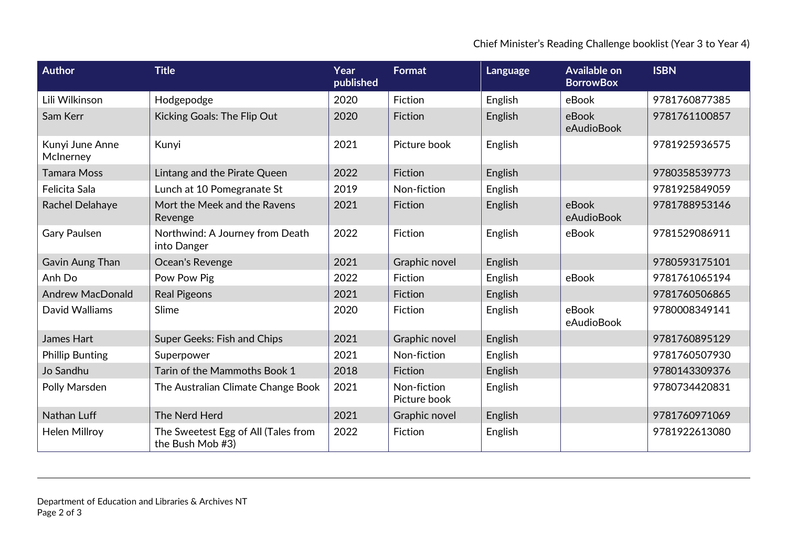Chief Minister's Reading Challenge booklist (Year 3 to Year 4)

| <b>Author</b>                | <b>Title</b>                                            | Year<br>published | <b>Format</b>               | Language | <b>Available on</b><br><b>BorrowBox</b> | <b>ISBN</b>   |
|------------------------------|---------------------------------------------------------|-------------------|-----------------------------|----------|-----------------------------------------|---------------|
| Lili Wilkinson               | Hodgepodge                                              | 2020              | Fiction                     | English  | eBook                                   | 9781760877385 |
| Sam Kerr                     | Kicking Goals: The Flip Out                             | 2020              | Fiction                     | English  | eBook<br>eAudioBook                     | 9781761100857 |
| Kunyi June Anne<br>McInerney | Kunyi                                                   | 2021              | Picture book                | English  |                                         | 9781925936575 |
| Tamara Moss                  | Lintang and the Pirate Queen                            | 2022              | Fiction                     | English  |                                         | 9780358539773 |
| Felicita Sala                | Lunch at 10 Pomegranate St                              | 2019              | Non-fiction                 | English  |                                         | 9781925849059 |
| Rachel Delahaye              | Mort the Meek and the Ravens<br>Revenge                 | 2021              | Fiction                     | English  | eBook<br>eAudioBook                     | 9781788953146 |
| <b>Gary Paulsen</b>          | Northwind: A Journey from Death<br>into Danger          | 2022              | Fiction                     | English  | eBook                                   | 9781529086911 |
| Gavin Aung Than              | Ocean's Revenge                                         | 2021              | Graphic novel               | English  |                                         | 9780593175101 |
| Anh Do                       | Pow Pow Pig                                             | 2022              | Fiction                     | English  | eBook                                   | 9781761065194 |
| <b>Andrew MacDonald</b>      | <b>Real Pigeons</b>                                     | 2021              | Fiction                     | English  |                                         | 9781760506865 |
| David Walliams               | Slime                                                   | 2020              | Fiction                     | English  | eBook<br>eAudioBook                     | 9780008349141 |
| James Hart                   | Super Geeks: Fish and Chips                             | 2021              | Graphic novel               | English  |                                         | 9781760895129 |
| <b>Phillip Bunting</b>       | Superpower                                              | 2021              | Non-fiction                 | English  |                                         | 9781760507930 |
| Jo Sandhu                    | Tarin of the Mammoths Book 1                            | 2018              | Fiction                     | English  |                                         | 9780143309376 |
| Polly Marsden                | The Australian Climate Change Book                      | 2021              | Non-fiction<br>Picture book | English  |                                         | 9780734420831 |
| Nathan Luff                  | The Nerd Herd                                           | 2021              | Graphic novel               | English  |                                         | 9781760971069 |
| <b>Helen Millroy</b>         | The Sweetest Egg of All (Tales from<br>the Bush Mob #3) | 2022              | Fiction                     | English  |                                         | 9781922613080 |